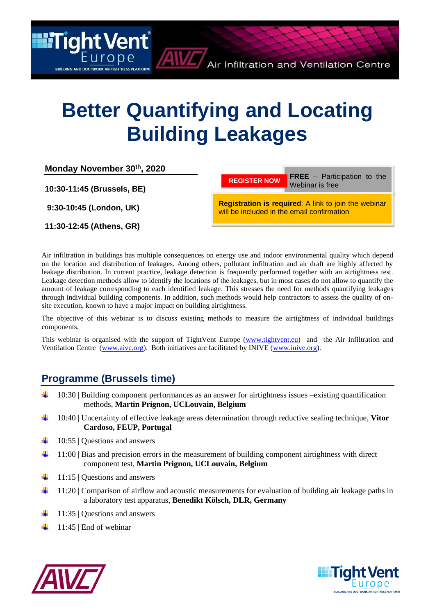# **Better Quantifying and Locating Building Leakages**

| Monday November 30th, 2020 |                                                                                                    |
|----------------------------|----------------------------------------------------------------------------------------------------|
| 10:30-11:45 (Brussels, BE) | <b>FREE</b> $-$ Participation to the<br><b>REGISTER NOW</b><br>Webinar is free                     |
| 9:30-10:45 (London, UK)    | Registration is required: A link to join the webinar<br>will be included in the email confirmation |
| 11:30-12:45 (Athens, GR)   |                                                                                                    |

Air infiltration in buildings has multiple consequences on energy use and indoor environmental quality which depend on the location and distribution of leakages. Among others, pollutant infiltration and air draft are highly affected by leakage distribution. In current practice, leakage detection is frequently performed together with an airtightness test. Leakage detection methods allow to identify the locations of the leakages, but in most cases do not allow to quantify the amount of leakage corresponding to each identified leakage. This stresses the need for methods quantifying leakages through individual building components. In addition, such methods would help contractors to assess the quality of onsite execution, known to have a major impact on building airtightness.

The objective of this webinar is to discuss existing methods to measure the airtightness of individual buildings components.

This webinar is organised with the support of TightVent Europe [\(www.tightvent.eu\)](http://www.tightvent.eu/) and the Air Infiltration and Ventilation Centre [\(www.aivc.org\)](http://www.aivc.org/). Both initiatives are facilitated by INIVE [\(www.inive.org\)](http://www.inive.org/).

# **Programme (Brussels time)**

**III** Tight Vent

**BUILDING AND DUCTWORK AIRTIGHTNESS PLATFORM** 

- 10:30 | Building component performances as an answer for airtightness issues –existing quantification methods, **Martin Prignon, UCLouvain, Belgium**
- ÷ 10:40 | Uncertainty of effective leakage areas determination through reductive sealing technique, **Vitor Cardoso, FEUP, Portugal**
- ÷ 10:55 | Questions and answers
- ₩ 11:00 | Bias and precision errors in the measurement of building component airtightness with direct component test, **Martin Prignon, UCLouvain, Belgium**
- 4. 11:15 | Questions and answers
- ÷ 11:20 | Comparison of airflow and acoustic measurements for evaluation of building air leakage paths in a laboratory test apparatus, **Benedikt Kölsch, DLR, Germany**
- 11:35 | Questions and answers
- 11:45 | End of webinar